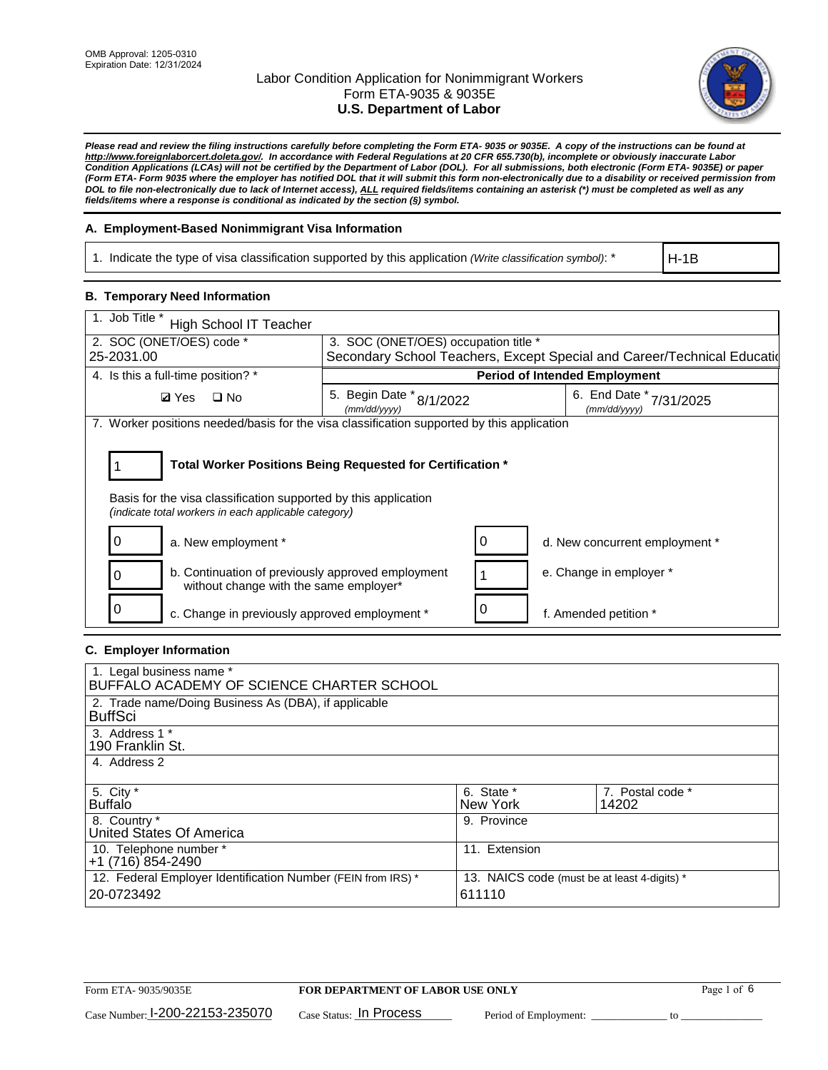

*Please read and review the filing instructions carefully before completing the Form ETA- 9035 or 9035E. A copy of the instructions can be found at [http://www.foreignlaborcert.doleta.gov/.](http://www.foreignlaborcert.doleta.gov/) In accordance with Federal Regulations at 20 CFR 655.730(b), incomplete or obviously inaccurate Labor Condition Applications (LCAs) will not be certified by the Department of Labor (DOL). For all submissions, both electronic (Form ETA- 9035E) or paper (Form ETA- Form 9035 where the employer has notified DOL that it will submit this form non-electronically due to a disability or received permission from DOL to file non-electronically due to lack of Internet access), ALL required fields/items containing an asterisk (\*) must be completed as well as any fields/items where a response is conditional as indicated by the section (§) symbol.* 

### **A. Employment-Based Nonimmigrant Visa Information**

1. Indicate the type of visa classification supported by this application *(Write classification symbol)*: \*

H-1B

### **B. Temporary Need Information**

| 1. Job Title *<br>High School IT Teacher                                                                                                                                              |                                          |   |                                                                          |  |  |  |
|---------------------------------------------------------------------------------------------------------------------------------------------------------------------------------------|------------------------------------------|---|--------------------------------------------------------------------------|--|--|--|
| 2. SOC (ONET/OES) code *                                                                                                                                                              | 3. SOC (ONET/OES) occupation title *     |   |                                                                          |  |  |  |
| 25-2031.00                                                                                                                                                                            |                                          |   | Secondary School Teachers, Except Special and Career/Technical Education |  |  |  |
| 4. Is this a full-time position? *                                                                                                                                                    | <b>Period of Intended Employment</b>     |   |                                                                          |  |  |  |
| <b>Ø</b> Yes ロNo                                                                                                                                                                      | 5. Begin Date * 8/1/2022<br>(mm/dd/yyyy) |   | 6. End Date *<br>7/31/2025<br>(mm/dd/yyyy)                               |  |  |  |
| 7. Worker positions needed/basis for the visa classification supported by this application                                                                                            |                                          |   |                                                                          |  |  |  |
| Total Worker Positions Being Requested for Certification *<br>Basis for the visa classification supported by this application<br>(indicate total workers in each applicable category) |                                          |   |                                                                          |  |  |  |
| 0<br>a. New employment *                                                                                                                                                              |                                          | 0 | d. New concurrent employment *                                           |  |  |  |
| b. Continuation of previously approved employment<br>0<br>without change with the same employer*                                                                                      |                                          |   | e. Change in employer *                                                  |  |  |  |
| c. Change in previously approved employment *                                                                                                                                         |                                          | 0 | f. Amended petition *                                                    |  |  |  |

### **C. Employer Information**

| 1. Legal business name *                                                                                     |               |                  |  |  |  |
|--------------------------------------------------------------------------------------------------------------|---------------|------------------|--|--|--|
| BUFFALO ACADEMY OF SCIENCE CHARTER SCHOOL                                                                    |               |                  |  |  |  |
| 2. Trade name/Doing Business As (DBA), if applicable                                                         |               |                  |  |  |  |
| <b>BuffSci</b>                                                                                               |               |                  |  |  |  |
| 3. Address 1 *                                                                                               |               |                  |  |  |  |
| 190 Franklin St.                                                                                             |               |                  |  |  |  |
| 4. Address 2                                                                                                 |               |                  |  |  |  |
|                                                                                                              |               |                  |  |  |  |
| 5. City *                                                                                                    | 6. State *    | 7. Postal code * |  |  |  |
| <b>Buffalo</b>                                                                                               | New York      | 14202            |  |  |  |
| 8. Country *                                                                                                 | 9. Province   |                  |  |  |  |
| United States Of America                                                                                     |               |                  |  |  |  |
| 10. Telephone number *                                                                                       | 11. Extension |                  |  |  |  |
| +1 (716) 854-2490                                                                                            |               |                  |  |  |  |
| 12. Federal Employer Identification Number (FEIN from IRS) *<br>13. NAICS code (must be at least 4-digits) * |               |                  |  |  |  |
| 20-0723492                                                                                                   | 611110        |                  |  |  |  |
|                                                                                                              |               |                  |  |  |  |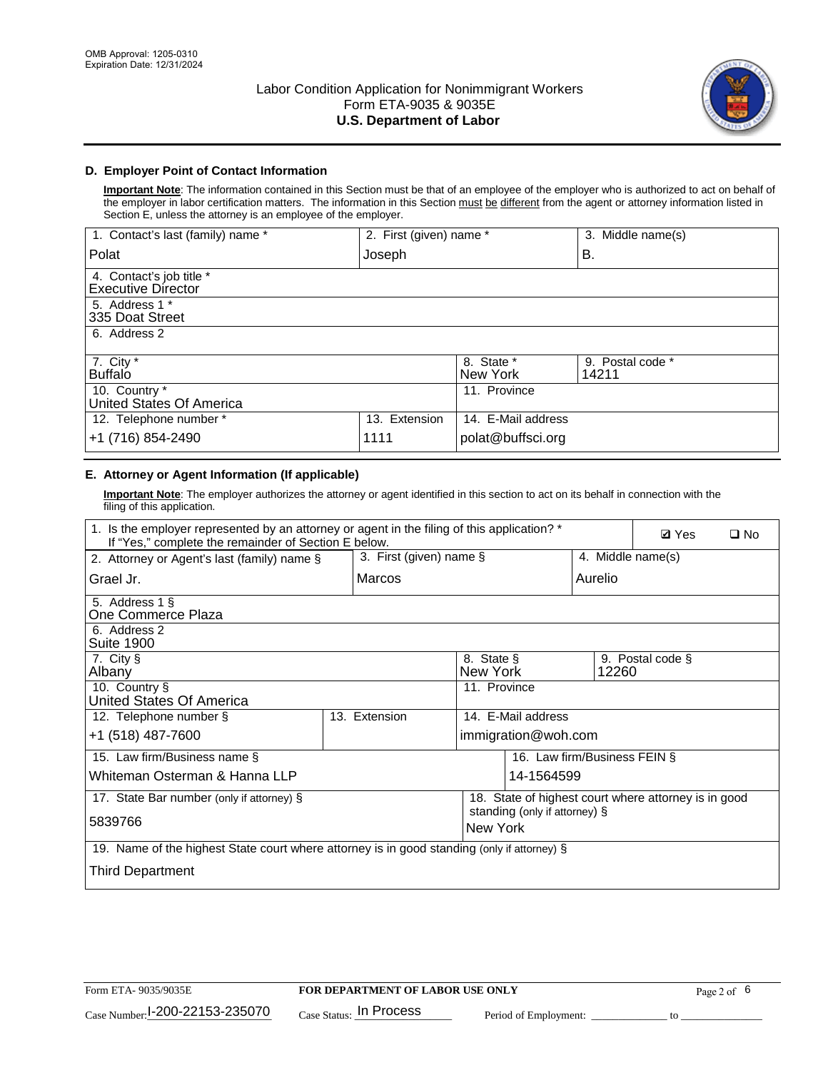

## **D. Employer Point of Contact Information**

**Important Note**: The information contained in this Section must be that of an employee of the employer who is authorized to act on behalf of the employer in labor certification matters. The information in this Section must be different from the agent or attorney information listed in Section E, unless the attorney is an employee of the employer.

| 1. Contact's last (family) name *                     | 2. First (given) name * |                        | 3. Middle name(s)         |
|-------------------------------------------------------|-------------------------|------------------------|---------------------------|
| Polat                                                 | Joseph                  |                        | В.                        |
| 4. Contact's job title *<br><b>Executive Director</b> |                         |                        |                           |
| 5. Address 1 *<br>335 Doat Street                     |                         |                        |                           |
| 6. Address 2                                          |                         |                        |                           |
| 7. City $*$<br><b>Buffalo</b>                         |                         | 8. State *<br>New York | 9. Postal code *<br>14211 |
| 10. Country *<br>United States Of America             |                         | 11. Province           |                           |
| 12. Telephone number *                                | 13. Extension           | 14. E-Mail address     |                           |
| +1 (716) 854-2490                                     | 1111                    | polat@buffsci.org      |                           |

## **E. Attorney or Agent Information (If applicable)**

**Important Note**: The employer authorizes the attorney or agent identified in this section to act on its behalf in connection with the filing of this application.

| 1. Is the employer represented by an attorney or agent in the filing of this application? *<br>If "Yes," complete the remainder of Section E below. |  |                                     |                     |            |                              | <b>Ø</b> Yes | $\Box$ No |
|-----------------------------------------------------------------------------------------------------------------------------------------------------|--|-------------------------------------|---------------------|------------|------------------------------|--------------|-----------|
| 3. First (given) name §<br>2. Attorney or Agent's last (family) name §                                                                              |  |                                     | 4. Middle name(s)   |            |                              |              |           |
| Grael Jr.                                                                                                                                           |  | Marcos                              |                     |            | Aurelio                      |              |           |
| 5. Address 1 §<br>One Commerce Plaza                                                                                                                |  |                                     |                     |            |                              |              |           |
| 6. Address 2<br><b>Suite 1900</b>                                                                                                                   |  |                                     |                     |            |                              |              |           |
| 7. City §<br>8. State §<br>9. Postal code §<br>New York<br>12260<br>Albany                                                                          |  |                                     |                     |            |                              |              |           |
| 10. Country §<br>United States Of America                                                                                                           |  |                                     | 11. Province        |            |                              |              |           |
| 12. Telephone number §                                                                                                                              |  | 13. Extension<br>14. E-Mail address |                     |            |                              |              |           |
| +1 (518) 487-7600                                                                                                                                   |  |                                     | immigration@woh.com |            |                              |              |           |
| 15. Law firm/Business name §                                                                                                                        |  |                                     |                     |            | 16. Law firm/Business FEIN § |              |           |
| Whiteman Osterman & Hanna LLP                                                                                                                       |  |                                     |                     | 14-1564599 |                              |              |           |
| 18. State of highest court where attorney is in good<br>17. State Bar number (only if attorney) §<br>standing (only if attorney) §                  |  |                                     |                     |            |                              |              |           |
| 5839766                                                                                                                                             |  |                                     | New York            |            |                              |              |           |
| 19. Name of the highest State court where attorney is in good standing (only if attorney) §                                                         |  |                                     |                     |            |                              |              |           |
| Third Department                                                                                                                                    |  |                                     |                     |            |                              |              |           |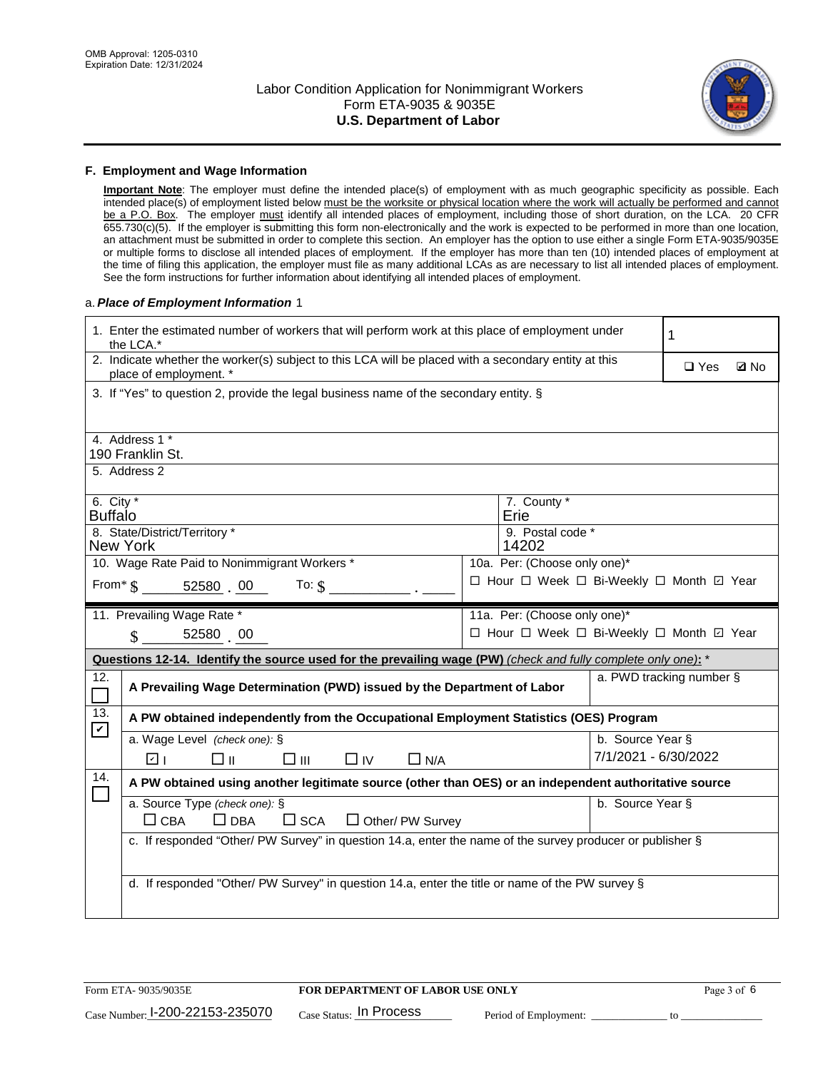

#### **F. Employment and Wage Information**

**Important Note**: The employer must define the intended place(s) of employment with as much geographic specificity as possible. Each intended place(s) of employment listed below must be the worksite or physical location where the work will actually be performed and cannot be a P.O. Box. The employer must identify all intended places of employment, including those of short duration, on the LCA. 20 CFR 655.730(c)(5). If the employer is submitting this form non-electronically and the work is expected to be performed in more than one location, an attachment must be submitted in order to complete this section. An employer has the option to use either a single Form ETA-9035/9035E or multiple forms to disclose all intended places of employment. If the employer has more than ten (10) intended places of employment at the time of filing this application, the employer must file as many additional LCAs as are necessary to list all intended places of employment. See the form instructions for further information about identifying all intended places of employment.

#### a.*Place of Employment Information* 1

| 1. Enter the estimated number of workers that will perform work at this place of employment under<br>the LCA.*                 |                                                                                                           |  |                                          |                      |            |             |  |
|--------------------------------------------------------------------------------------------------------------------------------|-----------------------------------------------------------------------------------------------------------|--|------------------------------------------|----------------------|------------|-------------|--|
| 2. Indicate whether the worker(s) subject to this LCA will be placed with a secondary entity at this<br>place of employment. * |                                                                                                           |  |                                          |                      | $\Box$ Yes | <b>Z</b> No |  |
| 3. If "Yes" to question 2, provide the legal business name of the secondary entity. §                                          |                                                                                                           |  |                                          |                      |            |             |  |
| 4. Address 1 *<br>190 Franklin St.                                                                                             |                                                                                                           |  |                                          |                      |            |             |  |
| 5. Address 2                                                                                                                   |                                                                                                           |  |                                          |                      |            |             |  |
| 6. City $*$<br><b>Buffalo</b>                                                                                                  |                                                                                                           |  | 7. County *<br>Erie                      |                      |            |             |  |
| 8. State/District/Territory *<br><b>New York</b>                                                                               |                                                                                                           |  | 9. Postal code *<br>14202                |                      |            |             |  |
| 10. Wage Rate Paid to Nonimmigrant Workers *                                                                                   |                                                                                                           |  | 10a. Per: (Choose only one)*             |                      |            |             |  |
| From $\text{\$}$ 52580 00 To: $\text{\$}$                                                                                      |                                                                                                           |  | □ Hour □ Week □ Bi-Weekly □ Month ☑ Year |                      |            |             |  |
| 11. Prevailing Wage Rate *                                                                                                     |                                                                                                           |  | 11a. Per: (Choose only one)*             |                      |            |             |  |
| 52580 00<br>$\mathbf S$                                                                                                        |                                                                                                           |  | □ Hour □ Week □ Bi-Weekly □ Month ☑ Year |                      |            |             |  |
| Questions 12-14. Identify the source used for the prevailing wage (PW) (check and fully complete only one): *                  |                                                                                                           |  |                                          |                      |            |             |  |
| 12.                                                                                                                            | a. PWD tracking number §<br>A Prevailing Wage Determination (PWD) issued by the Department of Labor       |  |                                          |                      |            |             |  |
| 13.<br>A PW obtained independently from the Occupational Employment Statistics (OES) Program<br>$\blacktriangledown$           |                                                                                                           |  |                                          |                      |            |             |  |
| a. Wage Level (check one): §                                                                                                   |                                                                                                           |  |                                          | b. Source Year §     |            |             |  |
| ला<br>□⊪<br>□Ⅲ                                                                                                                 | $\Box$ IV<br>$\Box$ N/A                                                                                   |  |                                          | 7/1/2021 - 6/30/2022 |            |             |  |
| 14.                                                                                                                            | A PW obtained using another legitimate source (other than OES) or an independent authoritative source     |  |                                          |                      |            |             |  |
| a. Source Type (check one): §<br>b. Source Year §<br>$\Box$ CBA<br>$\Box$ DBA<br>$\square$ SCA<br>$\Box$ Other/ PW Survey      |                                                                                                           |  |                                          |                      |            |             |  |
|                                                                                                                                | c. If responded "Other/ PW Survey" in question 14.a, enter the name of the survey producer or publisher § |  |                                          |                      |            |             |  |
|                                                                                                                                |                                                                                                           |  |                                          |                      |            |             |  |
| d. If responded "Other/ PW Survey" in question 14.a, enter the title or name of the PW survey §                                |                                                                                                           |  |                                          |                      |            |             |  |
|                                                                                                                                |                                                                                                           |  |                                          |                      |            |             |  |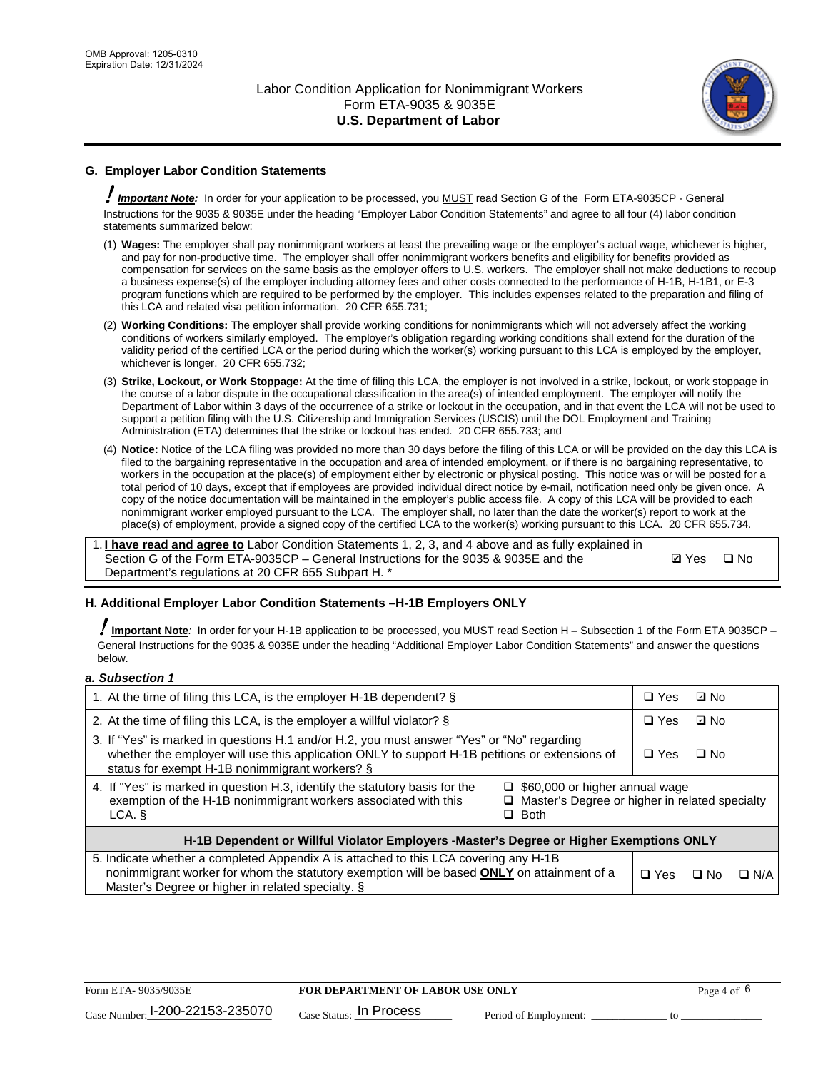

## **G. Employer Labor Condition Statements**

! *Important Note:* In order for your application to be processed, you MUST read Section G of the Form ETA-9035CP - General Instructions for the 9035 & 9035E under the heading "Employer Labor Condition Statements" and agree to all four (4) labor condition statements summarized below:

- (1) **Wages:** The employer shall pay nonimmigrant workers at least the prevailing wage or the employer's actual wage, whichever is higher, and pay for non-productive time. The employer shall offer nonimmigrant workers benefits and eligibility for benefits provided as compensation for services on the same basis as the employer offers to U.S. workers. The employer shall not make deductions to recoup a business expense(s) of the employer including attorney fees and other costs connected to the performance of H-1B, H-1B1, or E-3 program functions which are required to be performed by the employer. This includes expenses related to the preparation and filing of this LCA and related visa petition information. 20 CFR 655.731;
- (2) **Working Conditions:** The employer shall provide working conditions for nonimmigrants which will not adversely affect the working conditions of workers similarly employed. The employer's obligation regarding working conditions shall extend for the duration of the validity period of the certified LCA or the period during which the worker(s) working pursuant to this LCA is employed by the employer, whichever is longer. 20 CFR 655.732;
- (3) **Strike, Lockout, or Work Stoppage:** At the time of filing this LCA, the employer is not involved in a strike, lockout, or work stoppage in the course of a labor dispute in the occupational classification in the area(s) of intended employment. The employer will notify the Department of Labor within 3 days of the occurrence of a strike or lockout in the occupation, and in that event the LCA will not be used to support a petition filing with the U.S. Citizenship and Immigration Services (USCIS) until the DOL Employment and Training Administration (ETA) determines that the strike or lockout has ended. 20 CFR 655.733; and
- (4) **Notice:** Notice of the LCA filing was provided no more than 30 days before the filing of this LCA or will be provided on the day this LCA is filed to the bargaining representative in the occupation and area of intended employment, or if there is no bargaining representative, to workers in the occupation at the place(s) of employment either by electronic or physical posting. This notice was or will be posted for a total period of 10 days, except that if employees are provided individual direct notice by e-mail, notification need only be given once. A copy of the notice documentation will be maintained in the employer's public access file. A copy of this LCA will be provided to each nonimmigrant worker employed pursuant to the LCA. The employer shall, no later than the date the worker(s) report to work at the place(s) of employment, provide a signed copy of the certified LCA to the worker(s) working pursuant to this LCA. 20 CFR 655.734.

1. **I have read and agree to** Labor Condition Statements 1, 2, 3, and 4 above and as fully explained in Section G of the Form ETA-9035CP – General Instructions for the 9035 & 9035E and the Department's regulations at 20 CFR 655 Subpart H. \*

**Ø**Yes ロNo

### **H. Additional Employer Labor Condition Statements –H-1B Employers ONLY**

!**Important Note***:* In order for your H-1B application to be processed, you MUST read Section H – Subsection 1 of the Form ETA 9035CP – General Instructions for the 9035 & 9035E under the heading "Additional Employer Labor Condition Statements" and answer the questions below.

#### *a. Subsection 1*

| 1. At the time of filing this LCA, is the employer H-1B dependent? §                                                                                                                                                                                                 |  |  | ⊡ No |            |
|----------------------------------------------------------------------------------------------------------------------------------------------------------------------------------------------------------------------------------------------------------------------|--|--|------|------------|
| 2. At the time of filing this LCA, is the employer a willful violator? $\S$                                                                                                                                                                                          |  |  | ⊡ No |            |
| 3. If "Yes" is marked in questions H.1 and/or H.2, you must answer "Yes" or "No" regarding<br>whether the employer will use this application ONLY to support H-1B petitions or extensions of<br>status for exempt H-1B nonimmigrant workers? §                       |  |  | ∩ No |            |
| 4. If "Yes" is marked in question H.3, identify the statutory basis for the<br>$\Box$ \$60,000 or higher annual wage<br>exemption of the H-1B nonimmigrant workers associated with this<br>□ Master's Degree or higher in related specialty<br>$\Box$ Both<br>LCA. § |  |  |      |            |
| H-1B Dependent or Willful Violator Employers -Master's Degree or Higher Exemptions ONLY                                                                                                                                                                              |  |  |      |            |
| 5. Indicate whether a completed Appendix A is attached to this LCA covering any H-1B<br>nonimmigrant worker for whom the statutory exemption will be based <b>ONLY</b> on attainment of a<br>Master's Degree or higher in related specialty. §                       |  |  | ⊡ No | $\Box$ N/A |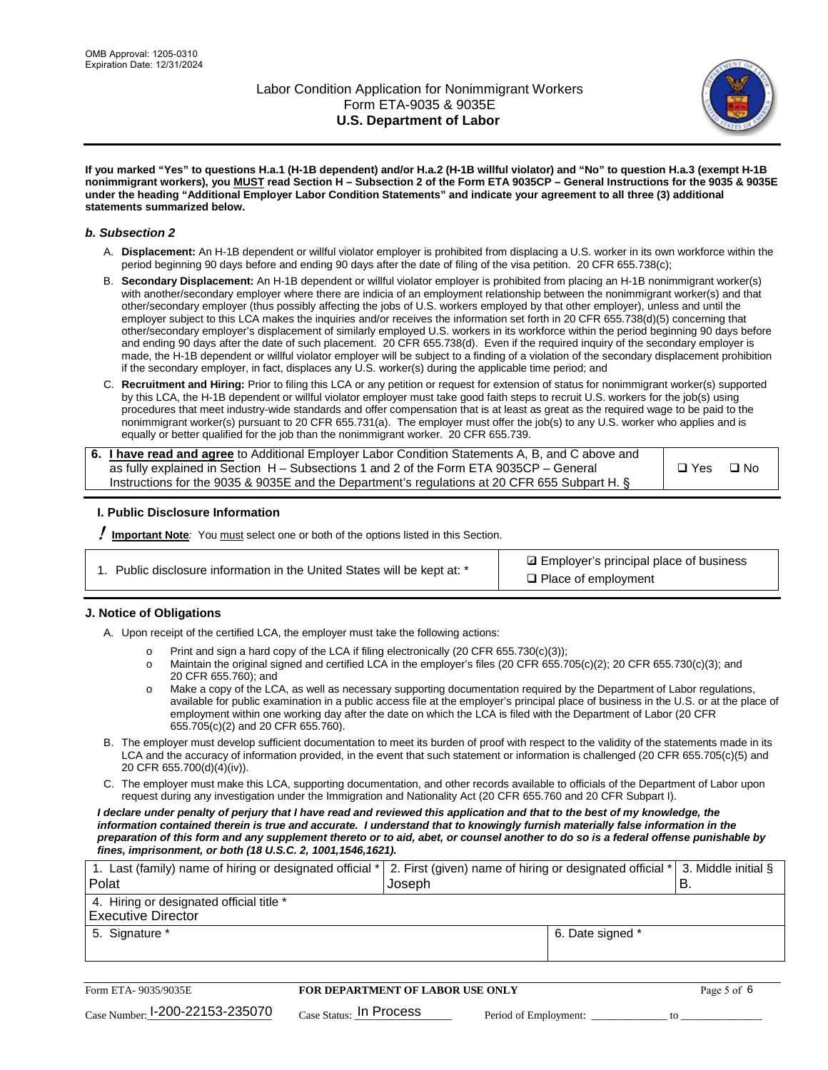

**If you marked "Yes" to questions H.a.1 (H-1B dependent) and/or H.a.2 (H-1B willful violator) and "No" to question H.a.3 (exempt H-1B nonimmigrant workers), you MUST read Section H – Subsection 2 of the Form ETA 9035CP – General Instructions for the 9035 & 9035E under the heading "Additional Employer Labor Condition Statements" and indicate your agreement to all three (3) additional statements summarized below.**

#### *b. Subsection 2*

- A. **Displacement:** An H-1B dependent or willful violator employer is prohibited from displacing a U.S. worker in its own workforce within the period beginning 90 days before and ending 90 days after the date of filing of the visa petition. 20 CFR 655.738(c);
- B. **Secondary Displacement:** An H-1B dependent or willful violator employer is prohibited from placing an H-1B nonimmigrant worker(s) with another/secondary employer where there are indicia of an employment relationship between the nonimmigrant worker(s) and that other/secondary employer (thus possibly affecting the jobs of U.S. workers employed by that other employer), unless and until the employer subject to this LCA makes the inquiries and/or receives the information set forth in 20 CFR 655.738(d)(5) concerning that other/secondary employer's displacement of similarly employed U.S. workers in its workforce within the period beginning 90 days before and ending 90 days after the date of such placement. 20 CFR 655.738(d). Even if the required inquiry of the secondary employer is made, the H-1B dependent or willful violator employer will be subject to a finding of a violation of the secondary displacement prohibition if the secondary employer, in fact, displaces any U.S. worker(s) during the applicable time period; and
- C. **Recruitment and Hiring:** Prior to filing this LCA or any petition or request for extension of status for nonimmigrant worker(s) supported by this LCA, the H-1B dependent or willful violator employer must take good faith steps to recruit U.S. workers for the job(s) using procedures that meet industry-wide standards and offer compensation that is at least as great as the required wage to be paid to the nonimmigrant worker(s) pursuant to 20 CFR 655.731(a). The employer must offer the job(s) to any U.S. worker who applies and is equally or better qualified for the job than the nonimmigrant worker. 20 CFR 655.739.

| 6. I have read and agree to Additional Employer Labor Condition Statements A, B, and C above and |       |           |
|--------------------------------------------------------------------------------------------------|-------|-----------|
| as fully explained in Section H – Subsections 1 and 2 of the Form ETA 9035CP – General           | □ Yes | $\Box$ No |
| Instructions for the 9035 & 9035 E and the Department's regulations at 20 CFR 655 Subpart H. §   |       |           |

### **I. Public Disclosure Information**

! **Important Note***:* You must select one or both of the options listed in this Section.

**sqrt** Employer's principal place of business □ Place of employment

### **J. Notice of Obligations**

A. Upon receipt of the certified LCA, the employer must take the following actions:

- o Print and sign a hard copy of the LCA if filing electronically (20 CFR 655.730(c)(3));<br>
Maintain the original signed and certified LCA in the employer's files (20 CFR 655.7
- Maintain the original signed and certified LCA in the employer's files (20 CFR 655.705(c)(2); 20 CFR 655.730(c)(3); and 20 CFR 655.760); and
- o Make a copy of the LCA, as well as necessary supporting documentation required by the Department of Labor regulations, available for public examination in a public access file at the employer's principal place of business in the U.S. or at the place of employment within one working day after the date on which the LCA is filed with the Department of Labor (20 CFR 655.705(c)(2) and 20 CFR 655.760).
- B. The employer must develop sufficient documentation to meet its burden of proof with respect to the validity of the statements made in its LCA and the accuracy of information provided, in the event that such statement or information is challenged (20 CFR 655.705(c)(5) and 20 CFR 655.700(d)(4)(iv)).
- C. The employer must make this LCA, supporting documentation, and other records available to officials of the Department of Labor upon request during any investigation under the Immigration and Nationality Act (20 CFR 655.760 and 20 CFR Subpart I).

*I declare under penalty of perjury that I have read and reviewed this application and that to the best of my knowledge, the*  information contained therein is true and accurate. I understand that to knowingly furnish materially false information in the *preparation of this form and any supplement thereto or to aid, abet, or counsel another to do so is a federal offense punishable by fines, imprisonment, or both (18 U.S.C. 2, 1001,1546,1621).*

| 1. Last (family) name of hiring or designated official *              | 2. First (given) name of hiring or designated official $*$ 3. Middle initial § |                  |   |
|-----------------------------------------------------------------------|--------------------------------------------------------------------------------|------------------|---|
| <b>Polat</b>                                                          | Joseph                                                                         |                  | B |
| 4. Hiring or designated official title *<br><b>Executive Director</b> |                                                                                |                  |   |
|                                                                       |                                                                                |                  |   |
| 5. Signature *                                                        |                                                                                | 6. Date signed * |   |
|                                                                       |                                                                                |                  |   |